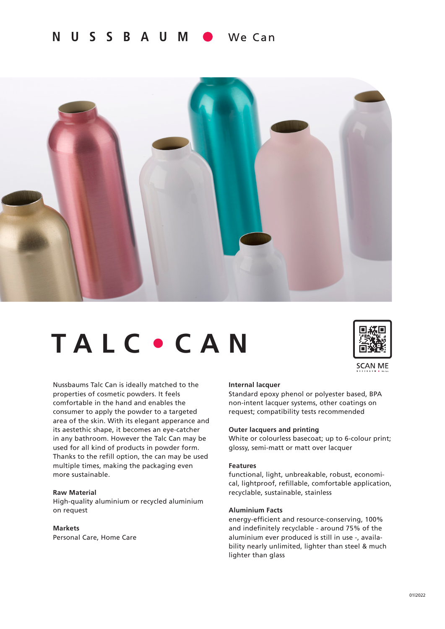#### N U S S B A U M We Can



# **TALC** • **CAN**



**SCAN ME** 

Nussbaums Talc Can is ideally matched to the properties of cosmetic powders. It feels comfortable in the hand and enables the consumer to apply the powder to a targeted area of the skin. With its elegant apperance and its aestethic shape, it becomes an eye-catcher in any bathroom. However the Talc Can may be used for all kind of products in powder form. Thanks to the refill option, the can may be used multiple times, making the packaging even more sustainable.

## **Raw Material**

High-quality aluminium or recycled aluminium on request

# **Markets**

Personal Care, Home Care

#### **Internal lacquer**

Standard epoxy phenol or polyester based, BPA non-intent lacquer systems, other coatings on request; compatibility tests recommended

# **Outer lacquers and printing**

White or colourless basecoat; up to 6-colour print; glossy, semi-matt or matt over lacquer

### **Features**

functional, light, unbreakable, robust, economical, lightproof, refillable, comfortable application, recyclable, sustainable, stainless

# **Aluminium Facts**

energy-efficient and resource-conserving, 100% and indefinitely recyclable - around 75% of the aluminium ever produced is still in use -, availability nearly unlimited, lighter than steel & much lighter than glass